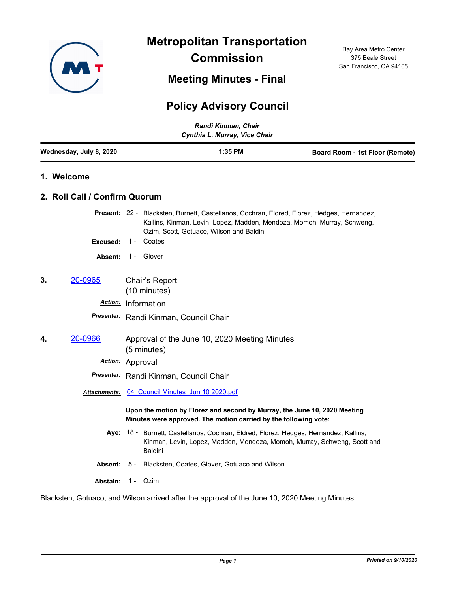

**Metropolitan Transportation Commission**

**Meeting Minutes - Final**

Bay Area Metro Center 375 Beale Street San Francisco, CA 94105

# **Policy Advisory Council**

|    | Randi Kinman, Chair<br>Cynthia L. Murray, Vice Chair |                                                              |                                                 |  |         |  |                                                                                                                                                                       |  |  |
|----|------------------------------------------------------|--------------------------------------------------------------|-------------------------------------------------|--|---------|--|-----------------------------------------------------------------------------------------------------------------------------------------------------------------------|--|--|
|    | Wednesday, July 8, 2020                              |                                                              |                                                 |  | 1:35 PM |  | Board Room - 1st Floor (Remote)                                                                                                                                       |  |  |
|    | 1. Welcome                                           |                                                              |                                                 |  |         |  |                                                                                                                                                                       |  |  |
|    | 2. Roll Call / Confirm Quorum                        |                                                              |                                                 |  |         |  |                                                                                                                                                                       |  |  |
|    |                                                      |                                                              | Ozim, Scott, Gotuaco, Wilson and Baldini        |  |         |  | Present: 22 - Blacksten, Burnett, Castellanos, Cochran, Eldred, Florez, Hedges, Hernandez,<br>Kallins, Kinman, Levin, Lopez, Madden, Mendoza, Momoh, Murray, Schweng, |  |  |
|    | Excused:                                             |                                                              | 1 - Coates                                      |  |         |  |                                                                                                                                                                       |  |  |
|    | <b>Absent:</b>                                       |                                                              | 1 - Glover                                      |  |         |  |                                                                                                                                                                       |  |  |
| 3. | 20-0965                                              |                                                              | Chair's Report<br>(10 minutes)                  |  |         |  |                                                                                                                                                                       |  |  |
|    |                                                      | Action: Information                                          |                                                 |  |         |  |                                                                                                                                                                       |  |  |
|    |                                                      | Presenter: Randi Kinman, Council Chair                       |                                                 |  |         |  |                                                                                                                                                                       |  |  |
| 4. | 20-0966                                              | Approval of the June 10, 2020 Meeting Minutes<br>(5 minutes) |                                                 |  |         |  |                                                                                                                                                                       |  |  |
|    |                                                      | Action: Approval                                             |                                                 |  |         |  |                                                                                                                                                                       |  |  |
|    |                                                      |                                                              | Presenter: Randi Kinman, Council Chair          |  |         |  |                                                                                                                                                                       |  |  |
|    |                                                      |                                                              | Attachments: 04 Council Minutes Jun 10 2020.pdf |  |         |  |                                                                                                                                                                       |  |  |
|    |                                                      |                                                              |                                                 |  |         |  | Upon the motion by Florez and second by Murray, the June 10, 2020 Meeting<br>Minutes were approved. The motion carried by the following vote:                         |  |  |
|    |                                                      |                                                              | Baldini                                         |  |         |  | Aye: 18 - Burnett, Castellanos, Cochran, Eldred, Florez, Hedges, Hernandez, Kallins,<br>Kinman, Levin, Lopez, Madden, Mendoza, Momoh, Murray, Schweng, Scott and      |  |  |
|    | Absent:                                              | 5 -                                                          | Blacksten, Coates, Glover, Gotuaco and Wilson   |  |         |  |                                                                                                                                                                       |  |  |
|    | Abstain:                                             | $1 -$                                                        | Ozim                                            |  |         |  |                                                                                                                                                                       |  |  |

Blacksten, Gotuaco, and Wilson arrived after the approval of the June 10, 2020 Meeting Minutes.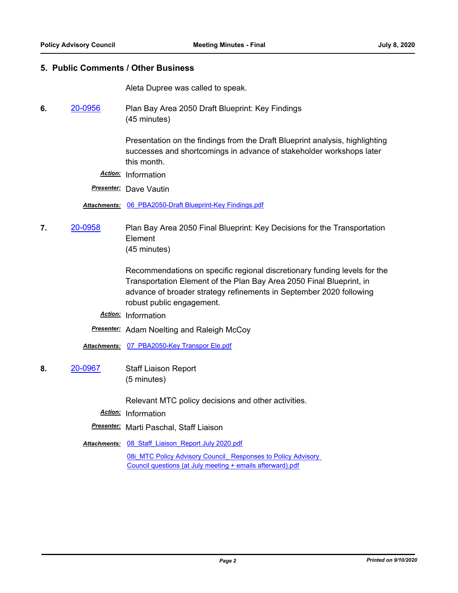### **5. Public Comments / Other Business**

Aleta Dupree was called to speak.

**6.** [20-0956](http://mtc.legistar.com/gateway.aspx?m=l&id=/matter.aspx?key=20820) Plan Bay Area 2050 Draft Blueprint: Key Findings (45 minutes)

> Presentation on the findings from the Draft Blueprint analysis, highlighting successes and shortcomings in advance of stakeholder workshops later this month.

*Action:* Information

*Presenter:* Dave Vautin

*Attachments:* [06\\_PBA2050-Draft Blueprint-Key Findings.pdf](http://mtc.legistar.com/gateway.aspx?M=F&ID=ec3417b7-d0de-407a-b206-5f0d67095250.pdf)

**7.** [20-0958](http://mtc.legistar.com/gateway.aspx?m=l&id=/matter.aspx?key=20822) Plan Bay Area 2050 Final Blueprint: Key Decisions for the Transportation Element (45 minutes)

> Recommendations on specific regional discretionary funding levels for the Transportation Element of the Plan Bay Area 2050 Final Blueprint, in advance of broader strategy refinements in September 2020 following robust public engagement.

*Action:* Information

**Presenter:** Adam Noelting and Raleigh McCoy

*Attachments:* [07\\_PBA2050-Key Transpor Ele.pdf](http://mtc.legistar.com/gateway.aspx?M=F&ID=dac9b74a-60e3-400c-8bed-f5cf1d4f8798.pdf)

**8.** [20-0967](http://mtc.legistar.com/gateway.aspx?m=l&id=/matter.aspx?key=20831) Staff Liaison Report (5 minutes)

Relevant MTC policy decisions and other activities.

*Action:* Information

*Presenter:* Marti Paschal, Staff Liaison

**Attachments: 08 Staff Liaison Report July 2020.pdf** 

08i MTC Policy Advisory Council Responses to Policy Advisory Council questions (at July meeting + emails afterward).pdf